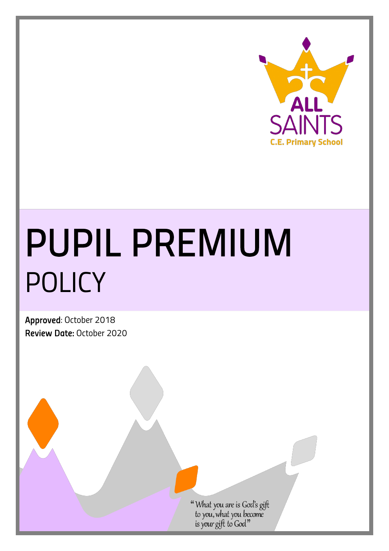

# *PUPIL PREMIUM POLICY*

*Approved: October 2018 Review Date: October 2020*

What you are is God's gift<br>to you, what you become<br>is your gift to God"